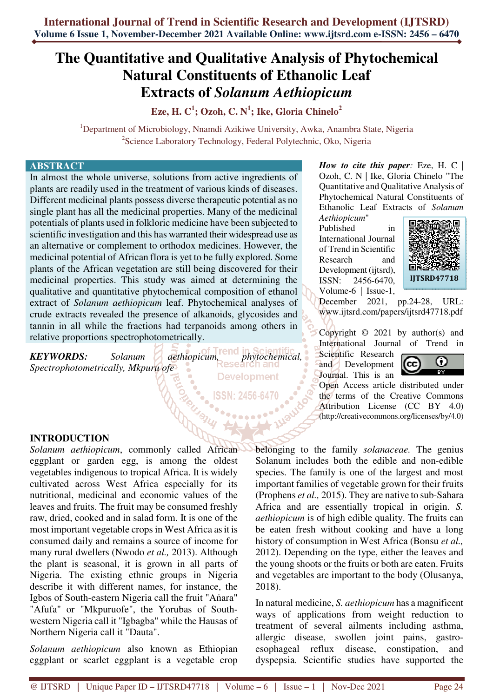# **The Quantitative and Qualitative Analysis of Phytochemical Natural Constituents of Ethanolic Leaf Extracts of** *Solanum Aethiopicum*

**Eze, H. C<sup>1</sup> ; Ozoh, C. N<sup>1</sup> ; Ike, Gloria Chinelo<sup>2</sup>**

<sup>1</sup>Department of Microbiology, Nnamdi Azikiwe University, Awka, Anambra State, Nigeria <sup>2</sup>Science Laboratory Technology, Federal Polytechnic, Oko, Nigeria

#### **ABSTRACT**

In almost the whole universe, solutions from active ingredients of plants are readily used in the treatment of various kinds of diseases. Different medicinal plants possess diverse therapeutic potential as no single plant has all the medicinal properties. Many of the medicinal potentials of plants used in folkloric medicine have been subjected to scientific investigation and this has warranted their widespread use as an alternative or complement to orthodox medicines. However, the medicinal potential of African flora is yet to be fully explored. Some plants of the African vegetation are still being discovered for their medicinal properties. This study was aimed at determining the qualitative and quantitative phytochemical composition of ethanol extract of *Solanum aethiopicum* leaf. Phytochemical analyses of crude extracts revealed the presence of alkanoids, glycosides and tannin in all while the fractions had terpanoids among others in relative proportions spectrophotometrically.

*KEYWORDS: Solanum aethiopicum, phytochemical, Spectrophotometrically, Mkpuru ofe*  **Development** 

*How to cite this paper:* Eze, H. C | Ozoh, C. N | Ike, Gloria Chinelo "The Quantitative and Qualitative Analysis of Phytochemical Natural Constituents of Ethanolic Leaf Extracts of *Solanum* 

*Aethiopicum*" Published in International Journal of Trend in Scientific Research and Development (ijtsrd), ISSN: 2456-6470, Volume-6 | Issue-1,



December 2021, pp.24-28, URL: www.ijtsrd.com/papers/ijtsrd47718.pdf

Copyright  $\odot$  2021 by author(s) and International Journal of Trend in

Scientific Research and Development Journal. This is an



Open Access article distributed under the terms of the Creative Commons Attribution License (CC BY 4.0) (http://creativecommons.org/licenses/by/4.0)

# **INTRODUCTION**

*Solanum aethiopicum*, commonly called African eggplant or garden egg, is among the oldest vegetables indigenous to tropical Africa. It is widely cultivated across West Africa especially for its nutritional, medicinal and economic values of the leaves and fruits. The fruit may be consumed freshly raw, dried, cooked and in salad form. It is one of the most important vegetable crops in West Africa as it is consumed daily and remains a source of income for many rural dwellers (Nwodo *et al.,* 2013). Although the plant is seasonal, it is grown in all parts of Nigeria. The existing ethnic groups in Nigeria describe it with different names, for instance, the Igbos of South-eastern Nigeria call the fruit "Aṅara" "Afufa" or "Mkpuruofe", the Yorubas of Southwestern Nigeria call it "Igbagba" while the Hausas of Northern Nigeria call it "Dauta".

*Solanum aethiopicum* also known as Ethiopian eggplant or scarlet eggplant is a vegetable crop belonging to the family *solanaceae.* The genius Solanum includes both the edible and non-edible species. The family is one of the largest and most important families of vegetable grown for their fruits (Prophens *et al.,* 2015). They are native to sub-Sahara Africa and are essentially tropical in origin. *S. aethiopicum* is of high edible quality. The fruits can be eaten fresh without cooking and have a long history of consumption in West Africa (Bonsu *et al.,* 2012). Depending on the type, either the leaves and the young shoots or the fruits or both are eaten. Fruits and vegetables are important to the body (Olusanya, 2018).

In natural medicine, *S. aethiopicum* has a magnificent ways of applications from weight reduction to treatment of several ailments including asthma, allergic disease, swollen joint pains, gastroesophageal reflux disease, constipation, and dyspepsia. Scientific studies have supported the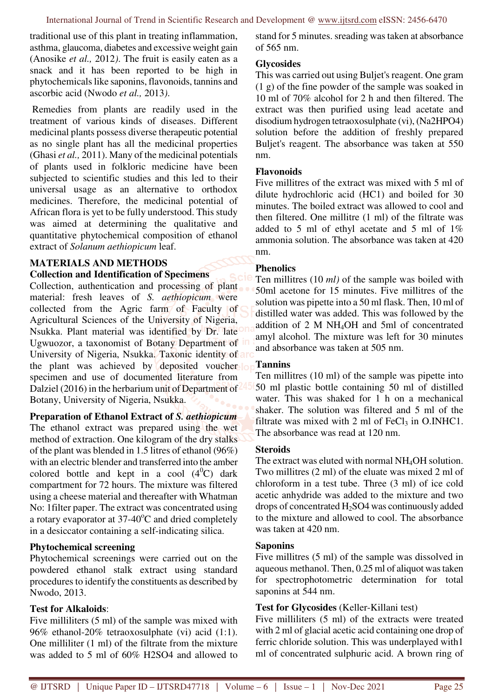traditional use of this plant in treating inflammation, asthma, glaucoma, diabetes and excessive weight gain (Anosike *et al.,* 2012*)*. The fruit is easily eaten as a snack and it has been reported to be high in phytochemicals like saponins, flavonoids, tannins and ascorbic acid (Nwodo *et al.,* 2013*)*.

 Remedies from plants are readily used in the treatment of various kinds of diseases. Different medicinal plants possess diverse therapeutic potential as no single plant has all the medicinal properties (Ghasi *et al.,* 2011). Many of the medicinal potentials of plants used in folkloric medicine have been subjected to scientific studies and this led to their universal usage as an alternative to orthodox medicines. Therefore, the medicinal potential of African flora is yet to be fully understood. This study was aimed at determining the qualitative and quantitative phytochemical composition of ethanol extract of *Solanum aethiopicum* leaf.

# **MATERIALS AND METHODS**

#### **Collection and Identification of Specimens**

Collection, authentication and processing of plant material: fresh leaves of *S. aethiopicum* were collected from the Agric farm of Faculty of Agricultural Sciences of the University of Nigeria, Nsukka. Plant material was identified by Dr. late Ugwuozor, a taxonomist of Botany Department of University of Nigeria, Nsukka. Taxonic identity of the plant was achieved by deposited voucher lo specimen and use of documented literature from Dalziel (2016) in the herbarium unit of Department of Botany, University of Nigeria, Nsukka.

# **Preparation of Ethanol Extract of** *S. aethiopicum*

The ethanol extract was prepared using the wet method of extraction. One kilogram of the dry stalks of the plant was blended in 1.5 litres of ethanol (96%) with an electric blender and transferred into the amber colored bottle and kept in a cool  $(4^0C)$  dark compartment for 72 hours. The mixture was filtered using a cheese material and thereafter with Whatman No: 1filter paper. The extract was concentrated using a rotary evaporator at  $37-40^{\circ}$ C and dried completely in a desiccator containing a self-indicating silica.

## **Phytochemical screening**

Phytochemical screenings were carried out on the powdered ethanol stalk extract using standard procedures to identify the constituents as described by Nwodo, 2013.

## **Test for Alkaloids**:

Five milliliters (5 ml) of the sample was mixed with 96% ethanol-20% tetraoxosulphate (vi) acid (1:1). One milliliter (1 ml) of the filtrate from the mixture was added to 5 ml of 60% H2SO4 and allowed to stand for 5 minutes. sreading was taken at absorbance of 565 nm.

## **Glycosides**

This was carried out using Buljet's reagent. One gram (1 g) of the fine powder of the sample was soaked in 10 ml of 70% alcohol for 2 h and then filtered. The extract was then purified using lead acetate and disodium hydrogen tetraoxosulphate (vi), (Na2HPO4) solution before the addition of freshly prepared Buljet's reagent. The absorbance was taken at 550 nm.

## **Flavonoids**

Five millitres of the extract was mixed with 5 ml of dilute hydrochloric acid (HC1) and boiled for 30 minutes. The boiled extract was allowed to cool and then filtered. One millitre (1 ml) of the filtrate was added to 5 ml of ethyl acetate and 5 ml of 1% ammonia solution. The absorbance was taken at 420 nm.

## **Phenolics**

Ten millitres (10 *ml)* of the sample was boiled with 50ml acetone for 15 minutes. Five millitres of the solution was pipette into a 50 ml flask. Then, 10 ml of distilled water was added. This was followed by the addition of 2 M NH4OH and 5ml of concentrated amyl alcohol. The mixture was left for 30 minutes and absorbance was taken at 505 nm.

## **Tannins**

Ten millitres (10 ml) of the sample was pipette into 50 ml plastic bottle containing 50 ml of distilled water. This was shaked for 1 h on a mechanical shaker. The solution was filtered and 5 ml of the filtrate was mixed with 2 ml of  $FeCl<sub>3</sub>$  in O.INHC1. The absorbance was read at 120 nm.

# **Steroids**

The extract was eluted with normal NH4OH solution. Two millitres (2 ml) of the eluate was mixed 2 ml of chloroform in a test tube. Three (3 ml) of ice cold acetic anhydride was added to the mixture and two drops of concentrated H2SO4 was continuously added to the mixture and allowed to cool. The absorbance was taken at 420 nm.

## **Saponins**

Five millitres (5 ml) of the sample was dissolved in aqueous methanol. Then, 0.25 ml of aliquot was taken for spectrophotometric determination for total saponins at 544 nm.

# **Test for Glycosides** (Keller-Killani test)

Five milliliters (5 ml) of the extracts were treated with 2 ml of glacial acetic acid containing one drop of ferric chloride solution. This was underplayed with1 ml of concentrated sulphuric acid. A brown ring of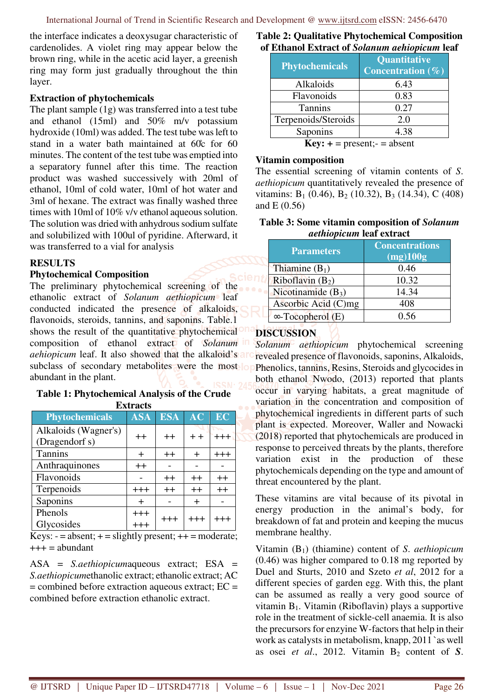the interface indicates a deoxysugar characteristic of cardenolides. A violet ring may appear below the brown ring, while in the acetic acid layer, a greenish ring may form just gradually throughout the thin layer.

#### **Extraction of phytochemicals**

The plant sample (1g) was transferred into a test tube and ethanol (15ml) and 50% m/v potassium hydroxide (10ml) was added. The test tube was left to stand in a water bath maintained at 60̊c for 60 minutes. The content of the test tube was emptied into a separatory funnel after this time. The reaction product was washed successively with 20ml of ethanol, 10ml of cold water, 10ml of hot water and 3ml of hexane. The extract was finally washed three times with 10ml of 10% v/v ethanol aqueous solution. The solution was dried with anhydrous sodium sulfate and solubilized with 100ul of pyridine. Afterward, it was transferred to a vial for analysis

## **RESULTS**

#### **Phytochemical Composition**

The preliminary phytochemical screening of the ethanolic extract of *Solanum aethiopicum* leaf conducted indicated the presence of alkaloids, flavonoids, steroids, tannins, and saponins. Table.1 shows the result of the quantitative phytochemical composition of ethanol extract of *Solanum aehiopicum* leaf. It also showed that the alkaloid's are subclass of secondary metabolites were the most op abundant in the plant.

#### **Table 1: Phytochemical Analysis of the Crude Extracts**

| <b>Phytochemicals</b> | <b>ASA</b> | <b>ESA</b> | $\overline{\mathbf{A}\mathbf{C}}$ | EC      |
|-----------------------|------------|------------|-----------------------------------|---------|
| Alkaloids (Wagner's)  | $++$       | $++$       | $+ +$                             | $+++$   |
| (Dragendorf s)        |            |            |                                   |         |
| <b>Tannins</b>        | $\div$     | $++$       | $\pm$                             | $+++$   |
| Anthraquinones        | $++$       |            |                                   |         |
| Flavonoids            |            | $++$       | $++$                              | $^{++}$ |
| Terpenoids            | $+++$      | $++$       | $++$                              | $++$    |
| Saponins              | $\div$     |            | $\pm$                             |         |
| Phenols               | $+++$      | $^{+++}$   |                                   | +++     |
| Glycosides            | $+++$      |            |                                   |         |

Keys:  $-$  = absent;  $+$  = slightly present;  $++$  = moderate;  $+++$  = abundant

ASA = *S.aethiopicum*aqueous extract; ESA = *S.aethiopicum*ethanolic extract; ethanolic extract; AC  $=$  combined before extraction aqueous extract;  $EC =$ combined before extraction ethanolic extract.

#### **Table 2: Qualitative Phytochemical Composition of Ethanol Extract of** *Solanum aehiopicum* **leaf**

| <b>Phytochemicals</b>          | <b>Quantitative</b><br>Concentration $(\%)$ |  |  |
|--------------------------------|---------------------------------------------|--|--|
| Alkaloids                      | 6.43                                        |  |  |
| Flavonoids                     | 0.83                                        |  |  |
| <b>Tannins</b>                 | 0.27                                        |  |  |
| Terpenoids/Steroids            | 2.0                                         |  |  |
| Saponins                       | 4.38                                        |  |  |
| $Key: + = present; - = absent$ |                                             |  |  |

#### **Vitamin composition**

The essential screening of vitamin contents of *S*. *aethiopicum* quantitatively revealed the presence of vitamins:  $B_1$  (0.46),  $B_2$  (10.32),  $B_3$  (14.34), C (408) and E (0.56)

### **Table 3: Some vitamin composition of** *Solanum aethiopicum* **leaf extract**

| <b>Parameters</b>        | <b>Concentrations</b><br>(mg)100g |
|--------------------------|-----------------------------------|
| Thiamine $(B_1)$         | 0.46                              |
| Riboflavin $(B_2)$       | 10.32                             |
| Nicotinamide $(B_3)$     | 14.34                             |
| Ascorbic Acid (C)mg      | 408                               |
| $\infty$ -Tocopherol (E) | በ 56                              |

## **DISCUSSION**

*Solanum aethiopicum* phytochemical screening revealed presence of flavonoids, saponins, Alkaloids, Phenolics, tannins, Resins, Steroids and glycocides in both ethanol Nwodo, (2013) reported that plants occur in varying habitats, a great magnitude of variation in the concentration and composition of phytochemical ingredients in different parts of such plant is expected. Moreover, Waller and Nowacki (2018) reported that phytochemicals are produced in response to perceived threats by the plants, therefore variation exist in the production of these phytochemicals depending on the type and amount of threat encountered by the plant.

These vitamins are vital because of its pivotal in energy production in the animal's body, for breakdown of fat and protein and keeping the mucus membrane healthy.

Vitamin (B1) (thiamine) content of *S*. *aethiopicum* (0.46) was higher compared to 0.18 mg reported by Duel and Sturts, 2010 and Szeto *et al*, 2012 for a different species of garden egg. With this, the plant can be assumed as really a very good source of vitamin  $B_1$ . Vitamin (Riboflavin) plays a supportive role in the treatment of sickle-cell anaemia. It is also the precursors for enzyine W-factors that help in their work as catalysts in metabolism, knapp, 2011 `as well as osei *et al.*, 2012. Vitamin  $B_2$  content of *S*.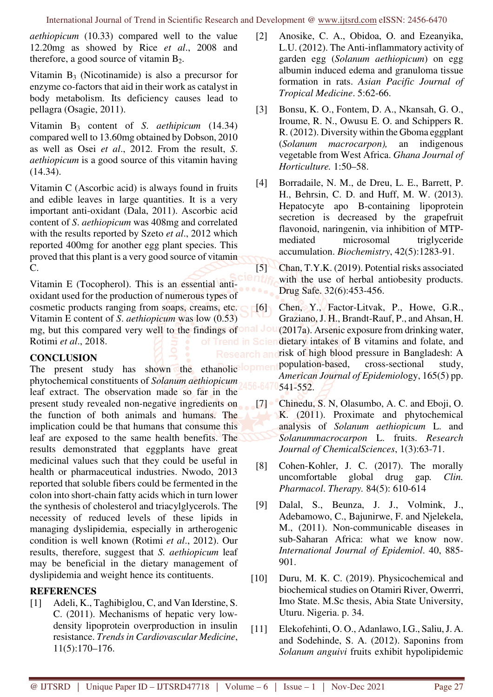*aethiopicum* (10.33) compared well to the value 12.20mg as showed by Rice *et al*., 2008 and therefore, a good source of vitamin  $B_2$ .

Vitamin  $B_3$  (Nicotinamide) is also a precursor for enzyme co-factors that aid in their work as catalyst in body metabolism. Its deficiency causes lead to pellagra (Osagie, 2011).

Vitamin B3 content of *S*. *aethipicum* (14.34) compared well to 13.60mg obtained by Dobson, 2010 as well as Osei *et al*., 2012. From the result, *S*. *aethiopicum* is a good source of this vitamin having (14.34).

Vitamin C (Ascorbic acid) is always found in fruits and edible leaves in large quantities. It is a very important anti-oxidant (Dala, 2011). Ascorbic acid content of *S*. *aethiopicum* was 408mg and correlated with the results reported by Szeto *et al*., 2012 which reported 400mg for another egg plant species. This proved that this plant is a very good source of vitamin C.

Vitamin E (Tocopherol). This is an essential antioxidant used for the production of numerous types of cosmetic products ranging from soaps, creams, etc. Vitamin E content of *S*. *aethiopicum* was low (0.53) mg, but this compared very well to the findings of onal Jou Rotimi *et al*., 2018.

# **CONCLUSION**

phytochemical constituents of *Solanum aethiopicum* leaf extract. The observation made so far in the present study revealed non-negative ingredients on the function of both animals and humans. The implication could be that humans that consume this leaf are exposed to the same health benefits. The results demonstrated that eggplants have great medicinal values such that they could be useful in health or pharmaceutical industries. Nwodo, 2013 reported that soluble fibers could be fermented in the colon into short-chain fatty acids which in turn lower the synthesis of cholesterol and triacylglycerols. The necessity of reduced levels of these lipids in managing dyslipidemia, especially in artherogenic condition is well known (Rotimi *et al*., 2012). Our results, therefore, suggest that *S. aethiopicum* leaf may be beneficial in the dietary management of dyslipidemia and weight hence its contituents.

# **REFERENCES**

[1] Adeli, K., Taghibiglou, C, and Van Iderstine, S. C. (2011). Mechanisms of hepatic very lowdensity lipoprotein overproduction in insulin resistance. *Trends in Cardiovascular Medicine*, 11(5):170–176.

- [2] Anosike, C. A., Obidoa, O. and Ezeanyika, L.U. (2012). The Anti-inflammatory activity of garden egg (*Solanum aethiopicum*) on egg albumin induced edema and granuloma tissue formation in rats. *Asian Pacific Journal of Tropical Medicine*. 5:62-66.
- [3] Bonsu, K. O., Fontem, D. A., Nkansah, G. O., Iroume, R. N., Owusu E. O. and Schippers R. R. (2012). Diversity within the Gboma eggplant (*Solanum macrocarpon),* an indigenous vegetable from West Africa. *Ghana Journal of Horticulture.* 1:50–58.
- [4] Borradaile, N. M., de Dreu, L. E., Barrett, P. H., Behrsin, C. D. and Huff, M. W. (2013). Hepatocyte apo B-containing lipoprotein secretion is decreased by the grapefruit flavonoid, naringenin, via inhibition of MTPmediated microsomal triglyceride accumulation. *Biochemistry*, 42(5):1283-91.

[5] Chan, T.Y.K. (2019). Potential risks associated with the use of herbal antiobesity products. Drug Safe. 32(6):453-456.

- The present study has shown the ethanolic **lopment** population-based, cross-sectional study, [6] Chen, Y., Factor-Litvak, P., Howe, G.R., Graziano, J. H., Brandt-Rauf, P., and Ahsan, H. (2017a). Arsenic exposure from drinking water, of Trend in Sciendietary intakes of B vitamins and folate, and Research and risk of high blood pressure in Bangladesh: A *American Journal of Epidemiol*ogy, 165(5) pp. 541-552.
	- [7] Chinedu, S. N. Olasumbo, A. C. and Eboii, O. K. (2011). Proximate and phytochemical analysis of *Solanum aethiopicum* L. and *Solanummacrocarpon* L. fruits. *Research Journal of ChemicalSciences*, 1(3):63-71.
	- [8] Cohen-Kohler, J. C. (2017). The morally uncomfortable global drug gap*. Clin. Pharmacol*. *Therapy.* 84(5): 610-614
	- [9] Dalal, S., Beunza, J. J., Volmink, J., Adebamowo, C., Bajunirwe, F. and Njelekela, M., (2011). Non-communicable diseases in sub-Saharan Africa: what we know now. *International Journal of Epidemiol*. 40, 885- 901.
	- [10] Duru, M. K. C. (2019). Physicochemical and biochemical studies on Otamiri River, Owerrri, Imo State. M.Sc thesis, Abia State University, Uturu. Nigeria. p. 34.
	- [11] Elekofehinti, O. O., Adanlawo, I.G., Saliu, J. A. and Sodehinde, S. A. (2012). Saponins from *Solanum anguivi* fruits exhibit hypolipidemic